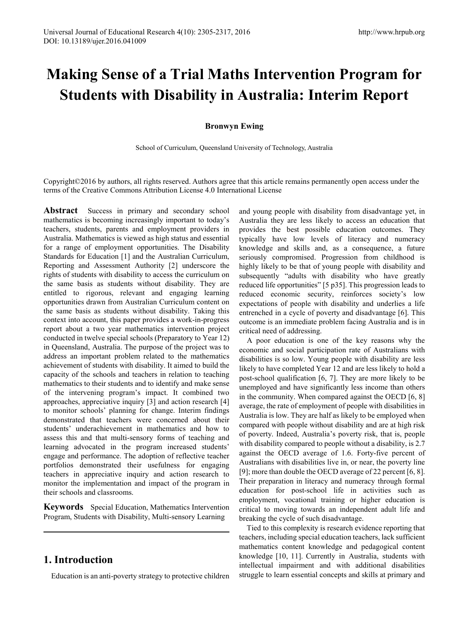# **Making Sense of a Trial Maths Intervention Program for Students with Disability in Australia: Interim Report**

### **Bronwyn Ewing**

School of Curriculum, Queensland University of Technology, Australia

Copyright©2016 by authors, all rights reserved. Authors agree that this article remains permanently open access under the terms of the Creative Commons Attribution License 4.0 International License

**Abstract** Success in primary and secondary school mathematics is becoming increasingly important to today's teachers, students, parents and employment providers in Australia. Mathematics is viewed as high status and essential for a range of employment opportunities. The Disability Standards for Education [1] and the Australian Curriculum, Reporting and Assessment Authority [2] underscore the rights of students with disability to access the curriculum on the same basis as students without disability. They are entitled to rigorous, relevant and engaging learning opportunities drawn from Australian Curriculum content on the same basis as students without disability. Taking this context into account, this paper provides a work-in-progress report about a two year mathematics intervention project conducted in twelve special schools (Preparatory to Year 12) in Queensland, Australia. The purpose of the project was to address an important problem related to the mathematics achievement of students with disability. It aimed to build the capacity of the schools and teachers in relation to teaching mathematics to their students and to identify and make sense of the intervening program's impact. It combined two approaches, appreciative inquiry [3] and action research [4] to monitor schools' planning for change. Interim findings demonstrated that teachers were concerned about their students' underachievement in mathematics and how to assess this and that multi-sensory forms of teaching and learning advocated in the program increased students' engage and performance. The adoption of reflective teacher portfolios demonstrated their usefulness for engaging teachers in appreciative inquiry and action research to monitor the implementation and impact of the program in their schools and classrooms.

**Keywords** Special Education, Mathematics Intervention Program, Students with Disability, Multi-sensory Learning

# **1. Introduction**

Education is an anti-poverty strategy to protective children

and young people with disability from disadvantage yet, in Australia they are less likely to access an education that provides the best possible education outcomes. They typically have low levels of literacy and numeracy knowledge and skills and, as a consequence, a future seriously compromised. Progression from childhood is highly likely to be that of young people with disability and subsequently "adults with disability who have greatly reduced life opportunities" [5 p35]. This progression leads to reduced economic security, reinforces society's low expectations of people with disability and underlies a life entrenched in a cycle of poverty and disadvantage [6]. This outcome is an immediate problem facing Australia and is in critical need of addressing.

A poor education is one of the key reasons why the economic and social participation rate of Australians with disabilities is so low. Young people with disability are less likely to have completed Year 12 and are less likely to hold a post-school qualification [6, 7]. They are more likely to be unemployed and have significantly less income than others in the community. When compared against the OECD [6, 8] average, the rate of employment of people with disabilities in Australia is low. They are half as likely to be employed when compared with people without disability and are at high risk of poverty. Indeed, Australia's poverty risk, that is, people with disability compared to people without a disability, is 2.7 against the OECD average of 1.6. Forty-five percent of Australians with disabilities live in, or near, the poverty line [9]; more than double the OECD average of 22 percent [6, 8]. Their preparation in literacy and numeracy through formal education for post-school life in activities such as employment, vocational training or higher education is critical to moving towards an independent adult life and breaking the cycle of such disadvantage.

Tied to this complexity is research evidence reporting that teachers, including special education teachers, lack sufficient mathematics content knowledge and pedagogical content knowledge [10, 11]. Currently in Australia, students with intellectual impairment and with additional disabilities struggle to learn essential concepts and skills at primary and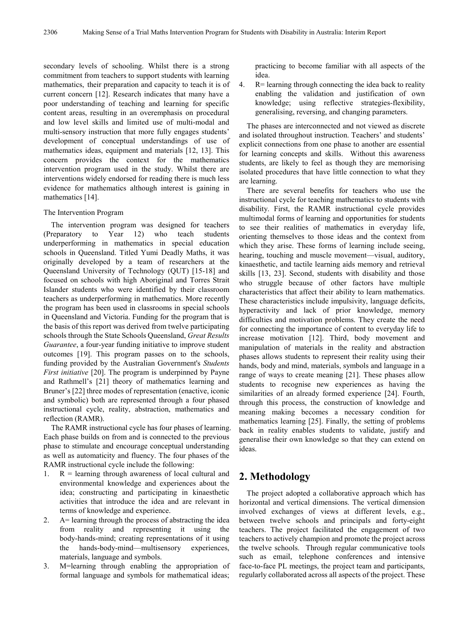secondary levels of schooling. Whilst there is a strong commitment from teachers to support students with learning mathematics, their preparation and capacity to teach it is of current concern [12]. Research indicates that many have a poor understanding of teaching and learning for specific content areas, resulting in an overemphasis on procedural and low level skills and limited use of multi-modal and multi-sensory instruction that more fully engages students' development of conceptual understandings of use of mathematics ideas, equipment and materials [12, 13]. This concern provides the context for the mathematics intervention program used in the study. Whilst there are interventions widely endorsed for reading there is much less evidence for mathematics although interest is gaining in mathematics [14].

#### The Intervention Program

The intervention program was designed for teachers (Preparatory to Year 12) who teach students underperforming in mathematics in special education schools in Queensland. Titled Yumi Deadly Maths, it was originally developed by a team of researchers at the Queensland University of Technology (QUT) [15-18] and focused on schools with high Aboriginal and Torres Strait Islander students who were identified by their classroom teachers as underperforming in mathematics. More recently the program has been used in classrooms in special schools in Queensland and Victoria. Funding for the program that is the basis of this report was derived from twelve participating schools through the State Schools Queensland, *Great Results Guarantee*, a four-year funding initiative to improve student outcomes [19]. This program passes on to the schools, funding provided by the Australian Government's *Students First initiative* [20]. The program is underpinned by Payne and Rathmell's [21] theory of mathematics learning and Bruner's [22] three modes of representation (enactive, iconic and symbolic) both are represented through a four phased instructional cycle, reality, abstraction, mathematics and reflection (RAMR).

The RAMR instructional cycle has four phases of learning. Each phase builds on from and is connected to the previous phase to stimulate and encourage conceptual understanding as well as automaticity and fluency. The four phases of the RAMR instructional cycle include the following:

- 1.  $R =$  learning through awareness of local cultural and environmental knowledge and experiences about the idea; constructing and participating in kinaesthetic activities that introduce the idea and are relevant in terms of knowledge and experience.
- 2. A= learning through the process of abstracting the idea from reality and representing it using the body-hands-mind; creating representations of it using the hands-body-mind—multisensory experiences, materials, language and symbols.
- 3. M=learning through enabling the appropriation of formal language and symbols for mathematical ideas;

practicing to become familiar with all aspects of the idea.

4. R= learning through connecting the idea back to reality enabling the validation and justification of own knowledge; using reflective strategies-flexibility, generalising, reversing, and changing parameters.

The phases are interconnected and not viewed as discrete and isolated throughout instruction. Teachers' and students' explicit connections from one phase to another are essential for learning concepts and skills. Without this awareness students, are likely to feel as though they are memorising isolated procedures that have little connection to what they are learning.

There are several benefits for teachers who use the instructional cycle for teaching mathematics to students with disability. First, the RAMR instructional cycle provides multimodal forms of learning and opportunities for students to see their realities of mathematics in everyday life, orienting themselves to those ideas and the context from which they arise. These forms of learning include seeing, hearing, touching and muscle movement—visual, auditory, kinaesthetic, and tactile learning aids memory and retrieval skills [13, 23]. Second, students with disability and those who struggle because of other factors have multiple characteristics that affect their ability to learn mathematics. These characteristics include impulsivity, language deficits, hyperactivity and lack of prior knowledge, memory difficulties and motivation problems. They create the need for connecting the importance of content to everyday life to increase motivation [12]. Third, body movement and manipulation of materials in the reality and abstraction phases allows students to represent their reality using their hands, body and mind, materials, symbols and language in a range of ways to create meaning [21]. These phases allow students to recognise new experiences as having the similarities of an already formed experience [24]. Fourth, through this process, the construction of knowledge and meaning making becomes a necessary condition for mathematics learning [25]. Finally, the setting of problems back in reality enables students to validate, justify and generalise their own knowledge so that they can extend on ideas.

# **2. Methodology**

The project adopted a collaborative approach which has horizontal and vertical dimensions. The vertical dimension involved exchanges of views at different levels, e.g., between twelve schools and principals and forty-eight teachers. The project facilitated the engagement of two teachers to actively champion and promote the project across the twelve schools. Through regular communicative tools such as email, telephone conferences and intensive face-to-face PL meetings, the project team and participants, regularly collaborated across all aspects of the project. These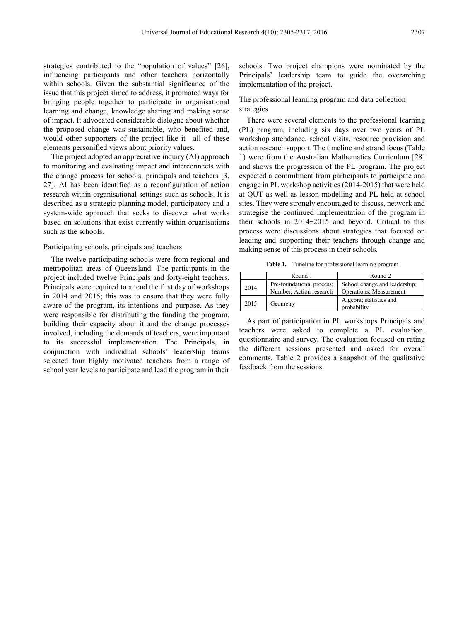strategies contributed to the "population of values" [26], influencing participants and other teachers horizontally within schools. Given the substantial significance of the issue that this project aimed to address, it promoted ways for bringing people together to participate in organisational learning and change, knowledge sharing and making sense of impact. It advocated considerable dialogue about whether the proposed change was sustainable, who benefited and, would other supporters of the project like it—all of these elements personified views about priority values.

The project adopted an appreciative inquiry (AI) approach to monitoring and evaluating impact and interconnects with the change process for schools, principals and teachers [3, 27]. AI has been identified as a reconfiguration of action research within organisational settings such as schools. It is described as a strategic planning model, participatory and a system-wide approach that seeks to discover what works based on solutions that exist currently within organisations such as the schools.

#### Participating schools, principals and teachers

The twelve participating schools were from regional and metropolitan areas of Queensland. The participants in the project included twelve Principals and forty-eight teachers. Principals were required to attend the first day of workshops in 2014 and 2015; this was to ensure that they were fully aware of the program, its intentions and purpose. As they were responsible for distributing the funding the program, building their capacity about it and the change processes involved, including the demands of teachers, were important to its successful implementation. The Principals, in conjunction with individual schools' leadership teams selected four highly motivated teachers from a range of school year levels to participate and lead the program in their

schools. Two project champions were nominated by the Principals' leadership team to guide the overarching implementation of the project.

The professional learning program and data collection strategies

There were several elements to the professional learning (PL) program, including six days over two years of PL workshop attendance, school visits, resource provision and action research support. The timeline and strand focus (Table 1) were from the Australian Mathematics Curriculum [28] and shows the progression of the PL program. The project expected a commitment from participants to participate and engage in PL workshop activities (2014-2015) that were held at QUT as well as lesson modelling and PL held at school sites. They were strongly encouraged to discuss, network and strategise the continued implementation of the program in their schools in 2014–2015 and beyond. Critical to this process were discussions about strategies that focused on leading and supporting their teachers through change and making sense of this process in their schools.

**Table 1.** Timeline for professional learning program

|      | Round 1                   | Round 2                                |
|------|---------------------------|----------------------------------------|
| 2014 | Pre-foundational process; | School change and leadership;          |
|      | Number; Action research   | Operations; Measurement                |
| 2015 | Geometry                  | Algebra; statistics and<br>probability |

As part of participation in PL workshops Principals and teachers were asked to complete a PL evaluation, questionnaire and survey. The evaluation focused on rating the different sessions presented and asked for overall comments. Table 2 provides a snapshot of the qualitative feedback from the sessions.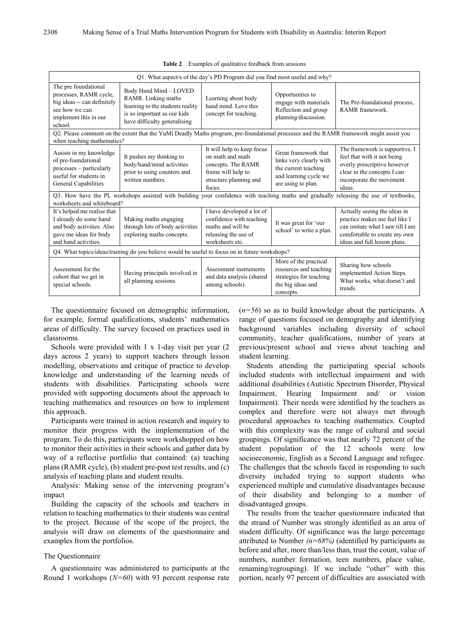| O1. What aspect/s of the day's PD Program did you find most useful and why?                                                                                          |                                                                                                                                                  |                                                                                                                                |                                                                                                                        |                                                                                                                                                                   |
|----------------------------------------------------------------------------------------------------------------------------------------------------------------------|--------------------------------------------------------------------------------------------------------------------------------------------------|--------------------------------------------------------------------------------------------------------------------------------|------------------------------------------------------------------------------------------------------------------------|-------------------------------------------------------------------------------------------------------------------------------------------------------------------|
| The pre foundational<br>processes, RAMR cycle,<br>big ideas -- can definitely<br>see how we can<br>implement this in our<br>school.                                  | Body Hand Mind - LOVED<br>RAMR. Linking maths<br>learning to the students reality<br>is so important as our kids<br>have difficulty generalising | Learning about body<br>hand mind. Love this<br>concept for teaching.                                                           | Opportunities to<br>engage with materials<br>Reflection and group<br>planning/discussion.                              | The Pre-foundational process,<br>RAMR framework.                                                                                                                  |
| when teaching mathematics?                                                                                                                                           | Q2. Please comment on the extent that the YuMi Deadly Maths program, pre-foundational processes and the RAMR framework might assist you          |                                                                                                                                |                                                                                                                        |                                                                                                                                                                   |
| Assists in my knowledge<br>of pre-foundational<br>processes - particularly<br>useful for students in<br>General Capabilities                                         | It pushes my thinking to<br>body/hand/mind activities<br>prior to using counters and<br>written numbers.                                         | It will help to keep focus<br>on math and math<br>concepts. The RAMR<br>frame will help to<br>structure planning and<br>focus. | Great framework that<br>links very clearly with<br>the current teaching<br>and learning cycle we<br>are using to plan. | The framework is supportive. I<br>feel that with it not being<br>overly prescriptive however<br>clear in the concepts I can<br>incorporate the movement<br>ideas. |
| Q3. How have the PL workshops assisted with building your confidence with teaching maths and gradually releasing the use of textbooks,<br>worksheets and whiteboard? |                                                                                                                                                  |                                                                                                                                |                                                                                                                        |                                                                                                                                                                   |
| It's helped me realise that<br>I already do some hand<br>and body activities. Also<br>gave me ideas for body<br>and hand activities.                                 | Making maths engaging<br>through lots of body activities<br>exploring maths concepts.                                                            | I have developed a lot of<br>confidence with teaching<br>maths and will be<br>releasing the use of<br>worksheets etc.          | It was great for 'our<br>school' to write a plan.                                                                      | Actually seeing the ideas in<br>practice makes me feel like I<br>can imitate what I saw till I am<br>comfortable to create my own<br>ideas and full lesson plans. |
| Q4. What topics/ideas/training do you believe would be useful to focus on in future workshops?                                                                       |                                                                                                                                                  |                                                                                                                                |                                                                                                                        |                                                                                                                                                                   |
| Assessment for the<br>cohort that we get in<br>special schools.                                                                                                      | Having principals involved in<br>all planning sessions.                                                                                          | Assessment instruments<br>and data analysis (shared<br>among schools).                                                         | More of the practical<br>resources and teaching<br>strategies for teaching<br>the big ideas and<br>concepts.           | Sharing how schools<br>implemented Action Steps.<br>What works, what doesn't and<br>trends.                                                                       |

**Table 2**. Examples of qualitative feedback from sessions

The questionnaire focused on demographic information, for example, formal qualifications, students' mathematics areas of difficulty. The survey focused on practices used in classrooms.

Schools were provided with 1 x 1-day visit per year (2 days across 2 years) to support teachers through lesson modelling, observations and critique of practice to develop knowledge and understanding of the learning needs of students with disabilities. Participating schools were provided with supporting documents about the approach to teaching mathematics and resources on how to implement this approach.

Participants were trained in action research and inquiry to monitor their progress with the implementation of the program. To do this, participants were workshopped on how to monitor their activities in their schools and gather data by way of a reflective portfolio that contained: (a) teaching plans (RAMR cycle), (b) student pre-post test results, and (c) analysis of teaching plans and student results.

Analysis: Making sense of the intervening program's impact

Building the capacity of the schools and teachers in relation to teaching mathematics to their students was central to the project. Because of the scope of the project, the analysis will draw on elements of the questionnaire and examples from the portfolios.

#### The Questionnaire

A questionnaire was administered to participants at the Round 1 workshops (*N=60*) with 93 percent response rate

(*n=56*) so as to build knowledge about the participants. A range of questions focused on demography and identifying background variables including diversity of school community, teacher qualifications, number of years at previous/present school and views about teaching and student learning.

Students attending the participating special schools included students with intellectual impairment and with additional disabilities (Autistic Spectrum Disorder, Physical Impairment, Hearing Impairment and/ or vision Impairment). Their needs were identified by the teachers as complex and therefore were not always met through procedural approaches to teaching mathematics. Coupled with this complexity was the range of cultural and social groupings. Of significance was that nearly 72 percent of the student population of the 12 schools were low socioeconomic, English as a Second Language and refugee. The challenges that the schools faced in responding to such diversity included trying to support students who experienced multiple and cumulative disadvantages because of their disability and belonging to a number of disadvantaged groups.

The results from the teacher questionnaire indicated that the strand of Number was strongly identified as an area of student difficulty. Of significance was the large percentage attributed to Number *(n=68%)* (identified by participants as before and after, more than/less than, trust the count, value of numbers, number formation, teen numbers, place value, renaming/regrouping). If we include "other" with this portion, nearly 97 percent of difficulties are associated with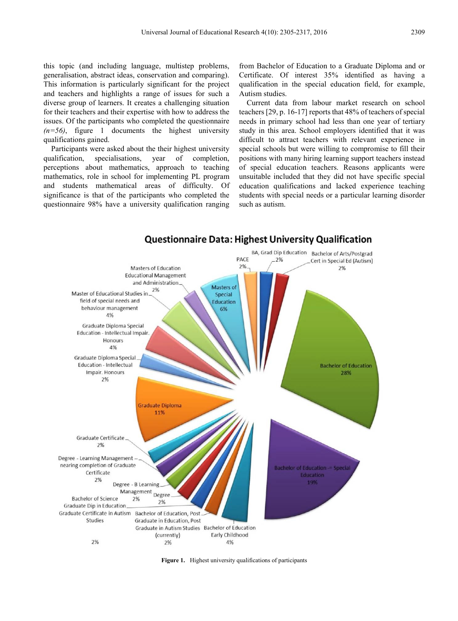this topic (and including language, multistep problems, generalisation, abstract ideas, conservation and comparing). This information is particularly significant for the project and teachers and highlights a range of issues for such a diverse group of learners. It creates a challenging situation for their teachers and their expertise with how to address the issues. Of the participants who completed the questionnaire  $(n=56)$ , figure 1 documents the highest university qualifications gained.

Participants were asked about the their highest university qualification, specialisations, year of completion, perceptions about mathematics, approach to teaching mathematics, role in school for implementing PL program and students mathematical areas of difficulty. Of significance is that of the participants who completed the questionnaire 98% have a university qualification ranging

from Bachelor of Education to a Graduate Diploma and or Certificate. Of interest 35% identified as having a qualification in the special education field, for example, Autism studies.

Current data from labour market research on school teachers [29, p. 16-17] reports that 48% of teachers of special needs in primary school had less than one year of tertiary study in this area. School employers identified that it was difficult to attract teachers with relevant experience in special schools but were willing to compromise to fill their positions with many hiring learning support teachers instead of special education teachers. Reasons applicants were unsuitable included that they did not have specific special education qualifications and lacked experience teaching students with special needs or a particular learning disorder such as autism.



### **Questionnaire Data: Highest University Qualification**

**Figure 1.** Highest university qualifications of participants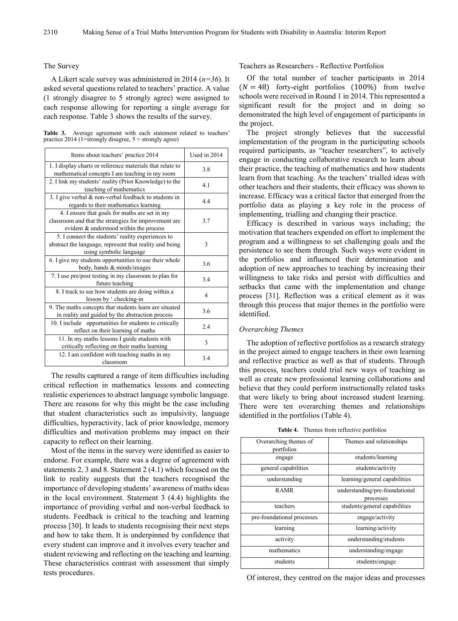#### The Survey

A Likert scale survey was administered in 2014 (*n=36*). It asked several questions related to teachers' practice. A value (1 strongly disagree to 5 strongly agree) were assigned to each response allowing for reporting a single average for each response. Table 3 shows the results of the survey.

**Table 3.** Average agreement with each statement related to teachers' practice  $2014$  (1=strongly disagree,  $5 =$  strongly agree)

| Items about teachers' practice 2014                                                                                                                | Used in 2014 |
|----------------------------------------------------------------------------------------------------------------------------------------------------|--------------|
| 1. I display charts or reference materials that relate to<br>mathematical concepts I am teaching in my room                                        | 3.8          |
| 2. I link my students' reality (Prior Knowledge) to the<br>teaching of mathematics                                                                 | 4.1          |
| 3. I give verbal & non-verbal feedback to students in<br>regards to their mathematics learning                                                     | 4.4          |
| 4. I ensure that goals for maths are set in my<br>classroom and that the strategies for improvement are<br>evident & understood within the process | 3.7          |
| 5. I connect the students' reality experiences to<br>abstract the language, represent that reality and being<br>using symbolic language            | 3            |
| 6. I give my students opportunities to use their whole<br>body, hands & minds/images                                                               | 3.6          |
| 7. I use pre/post testing in my classroom to plan for<br>future teaching                                                                           | 3.4          |
| 8. I track to see how students are doing within a<br>lesson by ' checking-in                                                                       | 4            |
| 9. The maths concepts that students learn are situated<br>in reality and guided by the abstraction process                                         | 3.6          |
| 10. I include opportunities for students to critically<br>reflect on their learning of maths                                                       | 2.4          |
| 11. In my maths lessons I guide students with<br>critically reflecting on their maths learning                                                     | 3            |
| 12. I am confident with teaching maths in my<br>classroom                                                                                          | 3.4          |

The results captured a range of item difficulties including critical reflection in mathematics lessons and connecting realistic experiences to abstract language symbolic language. There are reasons for why this might be the case including that student characteristics such as impulsivity, language difficulties, hyperactivity, lack of prior knowledge, memory difficulties and motivation problems may impact on their capacity to reflect on their learning.

Most of the items in the survey were identified as easier to endorse. For example, there was a degree of agreement with statements 2, 3 and 8. Statement 2 (4.1) which focused on the link to reality suggests that the teachers recognised the importance of developing students' awareness of maths ideas in the local environment. Statement 3 (4.4) highlights the importance of providing verbal and non-verbal feedback to students. Feedback is critical to the teaching and learning process [30]. It leads to students recognising their next steps and how to take them. It is underpinned by confidence that every student can improve and it involves every teacher and student reviewing and reflecting on the teaching and learning. These characteristics contrast with assessment that simply tests procedures.

Teachers as Researchers - Reflective Portfolios

Of the total number of teacher participants in 2014  $(N = 48)$  forty-eight portfolios (100%) from twelve schools were received in Round 1 in 2014. This represented a significant result for the project and in doing so demonstrated the high level of engagement of participants in the project.

The project strongly believes that the successful implementation of the program in the participating schools required participants, as "teacher researchers", to actively engage in conducting collaborative research to learn about their practice, the teaching of mathematics and how students learn from that teaching. As the teachers' trialled ideas with other teachers and their students, their efficacy was shown to increase. Efficacy was a critical factor that emerged from the portfolio data as playing a key role in the process of implementing, trialling and changing their practice.

Efficacy is described in various ways including; the motivation that teachers expended on effort to implement the program and a willingness to set challenging goals and the persistence to see them through. Such ways were evident in the portfolios and influenced their determination and adoption of new approaches to teaching by increasing their willingness to take risks and persist with difficulties and setbacks that came with the implementation and change process [31]. Reflection was a critical element as it was through this process that major themes in the portfolio were identified.

#### *Overarching Themes*

The adoption of reflective portfolios as a research strategy in the project aimed to engage teachers in their own learning and reflective practice as well as that of students. Through this process, teachers could trial new ways of teaching as well as create new professional learning collaborations and believe that they could perform instructionally related tasks that were likely to bring about increased student learning. There were ten overarching themes and relationships identified in the portfolios (Table 4).

| <b>Table 4.</b> |  |  | Themes from reflective portfolios |  |
|-----------------|--|--|-----------------------------------|--|
|-----------------|--|--|-----------------------------------|--|

| Overarching themes of<br>portfolios | Themes and relationships                    |
|-------------------------------------|---------------------------------------------|
| engage                              | students/learning                           |
| general capabilities                | students/activity                           |
| understanding                       | learning/general capabilities               |
| <b>RAMR</b>                         | understanding/pre-foundational<br>processes |
| teachers                            | students/general capabilities               |
| pre-foundational processes          | engage/activity                             |
| learning                            | learning/activity                           |
| activity                            | understanding/students                      |
| mathematics                         | understanding/engage                        |
| students                            | students/engage                             |

Of interest, they centred on the major ideas and processes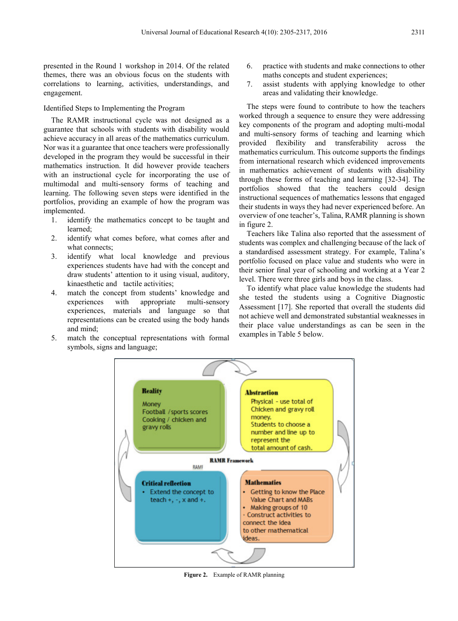presented in the Round 1 workshop in 2014. Of the related themes, there was an obvious focus on the students with correlations to learning, activities, understandings, and engagement.

### Identified Steps to Implementing the Program

The RAMR instructional cycle was not designed as a guarantee that schools with students with disability would achieve accuracy in all areas of the mathematics curriculum. Nor was it a guarantee that once teachers were professionally developed in the program they would be successful in their mathematics instruction. It did however provide teachers with an instructional cycle for incorporating the use of multimodal and multi-sensory forms of teaching and learning. The following seven steps were identified in the portfolios, providing an example of how the program was implemented.

- 1. identify the mathematics concept to be taught and learned;
- 2. identify what comes before, what comes after and what connects;
- 3. identify what local knowledge and previous experiences students have had with the concept and draw students' attention to it using visual, auditory, kinaesthetic and tactile activities;
- 4. match the concept from students' knowledge and experiences with appropriate multi-sensory experiences, materials and language so that representations can be created using the body hands and mind;
- 5. match the conceptual representations with formal symbols, signs and language;
- 6. practice with students and make connections to other maths concepts and student experiences:
- 7. assist students with applying knowledge to other areas and validating their knowledge.

The steps were found to contribute to how the teachers worked through a sequence to ensure they were addressing key components of the program and adopting multi-modal and multi-sensory forms of teaching and learning which provided flexibility and transferability across the mathematics curriculum. This outcome supports the findings from international research which evidenced improvements in mathematics achievement of students with disability through these forms of teaching and learning [32-34]. The portfolios showed that the teachers could design instructional sequences of mathematics lessons that engaged their students in ways they had never experienced before. An overview of one teacher's, Talina, RAMR planning is shown in figure 2.

Teachers like Talina also reported that the assessment of students was complex and challenging because of the lack of a standardised assessment strategy. For example, Talina's portfolio focused on place value and students who were in their senior final year of schooling and working at a Year 2 level. There were three girls and boys in the class.

To identify what place value knowledge the students had she tested the students using a Cognitive Diagnostic Assessment [17]. She reported that overall the students did not achieve well and demonstrated substantial weaknesses in their place value understandings as can be seen in the examples in Table 5 below.



**Figure 2.** Example of RAMR planning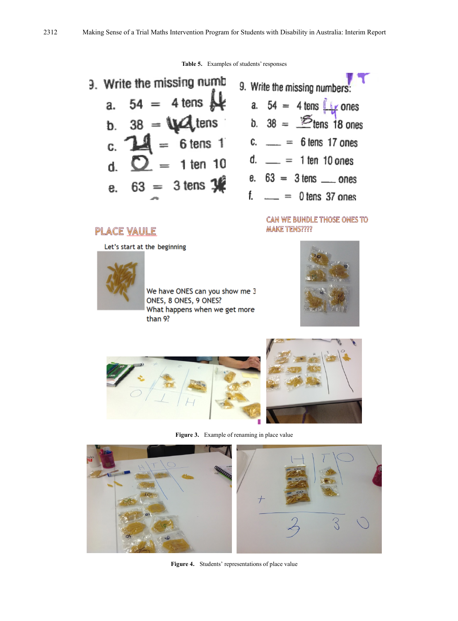**Table 5.** Examples of students' responses



### **CAN WE BUNDLE THOSE ONES TO MAKE TENS????**

# **PLACE VAULE** Let's start at the beginning



We have ONES can you show me 3 ONES, 8 ONES, 9 ONES? What happens when we get more than 9?









**Figure 4.** Students' representations of place value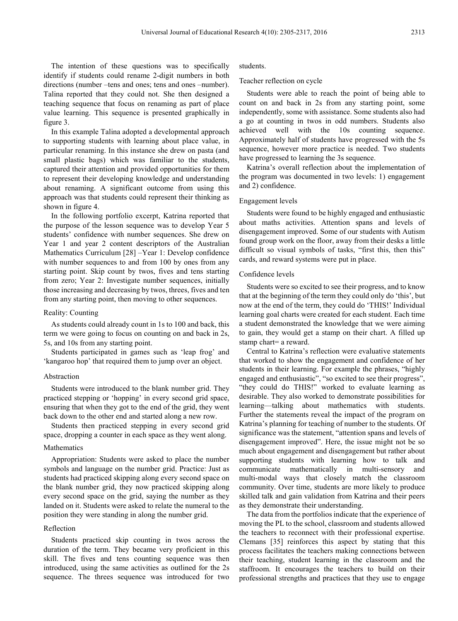The intention of these questions was to specifically identify if students could rename 2-digit numbers in both directions (number –tens and ones; tens and ones –number). Talina reported that they could not. She then designed a teaching sequence that focus on renaming as part of place value learning. This sequence is presented graphically in figure 3.

In this example Talina adopted a developmental approach to supporting students with learning about place value, in particular renaming. In this instance she drew on pasta (and small plastic bags) which was familiar to the students, captured their attention and provided opportunities for them to represent their developing knowledge and understanding about renaming. A significant outcome from using this approach was that students could represent their thinking as shown in figure 4.

In the following portfolio excerpt, Katrina reported that the purpose of the lesson sequence was to develop Year 5 students' confidence with number sequences. She drew on Year 1 and year 2 content descriptors of the Australian Mathematics Curriculum [28] –Year 1: Develop confidence with number sequences to and from 100 by ones from any starting point. Skip count by twos, fives and tens starting from zero; Year 2: Investigate number sequences, initially those increasing and decreasing by twos, threes, fives and ten from any starting point, then moving to other sequences.

#### Reality: Counting

As students could already count in 1s to 100 and back, this term we were going to focus on counting on and back in 2s, 5s, and 10s from any starting point.

Students participated in games such as 'leap frog' and 'kangaroo hop' that required them to jump over an object.

#### Abstraction

Students were introduced to the blank number grid. They practiced stepping or 'hopping' in every second grid space, ensuring that when they got to the end of the grid, they went back down to the other end and started along a new row.

Students then practiced stepping in every second grid space, dropping a counter in each space as they went along.

#### Mathematics

Appropriation: Students were asked to place the number symbols and language on the number grid. Practice: Just as students had practiced skipping along every second space on the blank number grid, they now practiced skipping along every second space on the grid, saying the number as they landed on it. Students were asked to relate the numeral to the position they were standing in along the number grid.

#### Reflection

Students practiced skip counting in twos across the duration of the term. They became very proficient in this skill. The fives and tens counting sequence was then introduced, using the same activities as outlined for the 2s sequence. The threes sequence was introduced for two

#### students.

Teacher reflection on cycle

Students were able to reach the point of being able to count on and back in 2s from any starting point, some independently, some with assistance. Some students also had a go at counting in twos in odd numbers. Students also achieved well with the 10s counting sequence. Approximately half of students have progressed with the 5s sequence, however more practice is needed. Two students have progressed to learning the 3s sequence.

Katrina's overall reflection about the implementation of the program was documented in two levels: 1) engagement and 2) confidence.

#### Engagement levels

Students were found to be highly engaged and enthusiastic about maths activities. Attention spans and levels of disengagement improved. Some of our students with Autism found group work on the floor, away from their desks a little difficult so visual symbols of tasks, "first this, then this" cards, and reward systems were put in place.

#### Confidence levels

Students were so excited to see their progress, and to know that at the beginning of the term they could only do 'this', but now at the end of the term, they could do 'THIS!' Individual learning goal charts were created for each student. Each time a student demonstrated the knowledge that we were aiming to gain, they would get a stamp on their chart. A filled up stamp chart= a reward.

Central to Katrina's reflection were evaluative statements that worked to show the engagement and confidence of her students in their learning. For example the phrases, "highly engaged and enthusiastic", "so excited to see their progress", "they could do THIS!" worked to evaluate learning as desirable. They also worked to demonstrate possibilities for learning—talking about mathematics with students. Further the statements reveal the impact of the program on Katrina's planning for teaching of number to the students. Of significance was the statement, "attention spans and levels of disengagement improved". Here, the issue might not be so much about engagement and disengagement but rather about supporting students with learning how to talk and communicate mathematically in multi-sensory and multi-modal ways that closely match the classroom community. Over time, students are more likely to produce skilled talk and gain validation from Katrina and their peers as they demonstrate their understanding.

The data from the portfolios indicate that the experience of moving the PL to the school, classroom and students allowed the teachers to reconnect with their professional expertise. Clemans [35] reinforces this aspect by stating that this process facilitates the teachers making connections between their teaching, student learning in the classroom and the staffroom. It encourages the teachers to build on their professional strengths and practices that they use to engage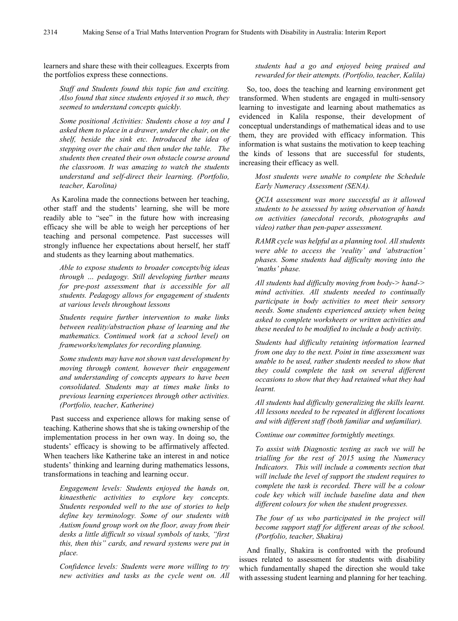learners and share these with their colleagues. Excerpts from the portfolios express these connections.

*Staff and Students found this topic fun and exciting. Also found that since students enjoyed it so much, they seemed to understand concepts quickly.*

*Some positional Activities: Students chose a toy and I asked them to place in a drawer, under the chair, on the shelf, beside the sink etc. Introduced the idea of stepping over the chair and then under the table. The students then created their own obstacle course around the classroom. It was amazing to watch the students understand and self-direct their learning. (Portfolio, teacher, Karolina)*

As Karolina made the connections between her teaching, other staff and the students' learning, she will be more readily able to "see" in the future how with increasing efficacy she will be able to weigh her perceptions of her teaching and personal competence. Past successes will strongly influence her expectations about herself, her staff and students as they learning about mathematics.

*Able to expose students to broader concepts/big ideas through … pedagogy. Still developing further means for pre-post assessment that is accessible for all students. Pedagogy allows for engagement of students at various levels throughout lessons*

*Students require further intervention to make links between reality/abstraction phase of learning and the mathematics. Continued work (at a school level) on frameworks/templates for recording planning.*

*Some students may have not shown vast development by moving through content, however their engagement and understanding of concepts appears to have been consolidated. Students may at times make links to previous learning experiences through other activities. (Portfolio, teacher, Katherine)*

Past success and experience allows for making sense of teaching. Katherine shows that she is taking ownership of the implementation process in her own way. In doing so, the students' efficacy is showing to be affirmatively affected. When teachers like Katherine take an interest in and notice students' thinking and learning during mathematics lessons, transformations in teaching and learning occur.

*Engagement levels: Students enjoyed the hands on, kinaesthetic activities to explore key concepts. Students responded well to the use of stories to help define key terminology. Some of our students with Autism found group work on the floor, away from their desks a little difficult so visual symbols of tasks, "first this, then this" cards, and reward systems were put in place.* 

*Confidence levels: Students were more willing to try new activities and tasks as the cycle went on. All* 

### *students had a go and enjoyed being praised and rewarded for their attempts. (Portfolio, teacher, Kalila)*

So, too, does the teaching and learning environment get transformed. When students are engaged in multi-sensory learning to investigate and learning about mathematics as evidenced in Kalila response, their development of conceptual understandings of mathematical ideas and to use them, they are provided with efficacy information. This information is what sustains the motivation to keep teaching the kinds of lessons that are successful for students, increasing their efficacy as well.

*Most students were unable to complete the Schedule Early Numeracy Assessment (SENA).*

*QCIA assessment was more successful as it allowed students to be assessed by using observation of hands on activities (anecdotal records, photographs and video) rather than pen-paper assessment.*

*RAMR cycle was helpful as a planning tool. All students were able to access the 'reality' and 'abstraction' phases. Some students had difficulty moving into the 'maths' phase.*

*All students had difficulty moving from body-> hand-> mind activities. All students needed to continually participate in body activities to meet their sensory needs. Some students experienced anxiety when being asked to complete worksheets or written activities and these needed to be modified to include a body activity.* 

*Students had difficulty retaining information learned from one day to the next. Point in time assessment was unable to be used, rather students needed to show that they could complete the task on several different occasions to show that they had retained what they had learnt.*

*All students had difficulty generalizing the skills learnt. All lessons needed to be repeated in different locations and with different staff (both familiar and unfamiliar).*

*Continue our committee fortnightly meetings.*

*To assist with Diagnostic testing as such we will be trialling for the rest of 2015 using the Numeracy Indicators. This will include a comments section that will include the level of support the student requires to complete the task is recorded. There will be a colour code key which will include baseline data and then different colours for when the student progresses.*

*The four of us who participated in the project will become support staff for different areas of the school. (Portfolio, teacher, Shakira)*

And finally, Shakira is confronted with the profound issues related to assessment for students with disability which fundamentally shaped the direction she would take with assessing student learning and planning for her teaching.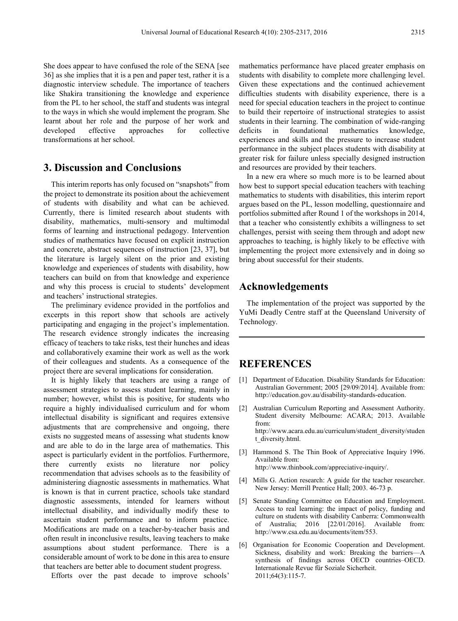She does appear to have confused the role of the SENA [see 36] as she implies that it is a pen and paper test, rather it is a diagnostic interview schedule. The importance of teachers like Shakira transitioning the knowledge and experience from the PL to her school, the staff and students was integral to the ways in which she would implement the program. She learnt about her role and the purpose of her work and developed effective approaches for collective transformations at her school.

# **3. Discussion and Conclusions**

This interim reports has only focused on "snapshots" from the project to demonstrate its position about the achievement of students with disability and what can be achieved. Currently, there is limited research about students with disability, mathematics, multi-sensory and multimodal forms of learning and instructional pedagogy. Intervention studies of mathematics have focused on explicit instruction and concrete, abstract sequences of instruction [23, 37], but the literature is largely silent on the prior and existing knowledge and experiences of students with disability, how teachers can build on from that knowledge and experience and why this process is crucial to students' development and teachers' instructional strategies.

The preliminary evidence provided in the portfolios and excerpts in this report show that schools are actively participating and engaging in the project's implementation. The research evidence strongly indicates the increasing efficacy of teachers to take risks, test their hunches and ideas and collaboratively examine their work as well as the work of their colleagues and students. As a consequence of the project there are several implications for consideration.

It is highly likely that teachers are using a range of assessment strategies to assess student learning, mainly in number; however, whilst this is positive, for students who require a highly individualised curriculum and for whom intellectual disability is significant and requires extensive adjustments that are comprehensive and ongoing, there exists no suggested means of assessing what students know and are able to do in the large area of mathematics. This aspect is particularly evident in the portfolios. Furthermore, there currently exists no literature nor policy recommendation that advises schools as to the feasibility of administering diagnostic assessments in mathematics. What is known is that in current practice, schools take standard diagnostic assessments, intended for learners without intellectual disability, and individually modify these to ascertain student performance and to inform practice. Modifications are made on a teacher-by-teacher basis and often result in inconclusive results, leaving teachers to make assumptions about student performance. There is a considerable amount of work to be done in this area to ensure that teachers are better able to document student progress.

Efforts over the past decade to improve schools'

mathematics performance have placed greater emphasis on students with disability to complete more challenging level. Given these expectations and the continued achievement difficulties students with disability experience, there is a need for special education teachers in the project to continue to build their repertoire of instructional strategies to assist students in their learning. The combination of wide-ranging deficits in foundational mathematics knowledge, experiences and skills and the pressure to increase student performance in the subject places students with disability at greater risk for failure unless specially designed instruction and resources are provided by their teachers.

In a new era where so much more is to be learned about how best to support special education teachers with teaching mathematics to students with disabilities, this interim report argues based on the PL, lesson modelling, questionnaire and portfolios submitted after Round 1 of the workshops in 2014, that a teacher who consistently exhibits a willingness to set challenges, persist with seeing them through and adopt new approaches to teaching, is highly likely to be effective with implementing the project more extensively and in doing so bring about successful for their students.

# **Acknowledgements**

The implementation of the project was supported by the YuMi Deadly Centre staff at the Queensland University of Technology.

## **REFERENCES**

- [1] Department of Education. Disability Standards for Education: Australian Government; 2005 [29/09/2014]. Available from: http://education.gov.au/disability-standards-education.
- [2] Australian Curriculum Reporting and Assessment Authority. Student diversity Melbourne: ACARA; 2013. Available from: http://www.acara.edu.au/curriculum/student\_diversity/studen t\_diversity.html.
- [3] Hammond S. The Thin Book of Appreciative Inquiry 1996. Available from:

http://www.thinbook.com/appreciative-inquiry/.

- [4] Mills G. Action research: A guide for the teacher researcher. New Jersey: Merrill Prentice Hall; 2003. 46-73 p.
- [5] Senate Standing Committee on Education and Employment. Access to real learning: the impact of policy, funding and culture on students with disability Canberra: Commonwealth of Australia; 2016 [22/01/2016]. Available from: http://www.csa.edu.au/documents/item/553.
- [6] Organisation for Economic Cooperation and Development. Sickness, disability and work: Breaking the barriers—A synthesis of findings across OECD countries–OECD. Internationale Revue für Soziale Sicherheit. 2011;64(3):115-7.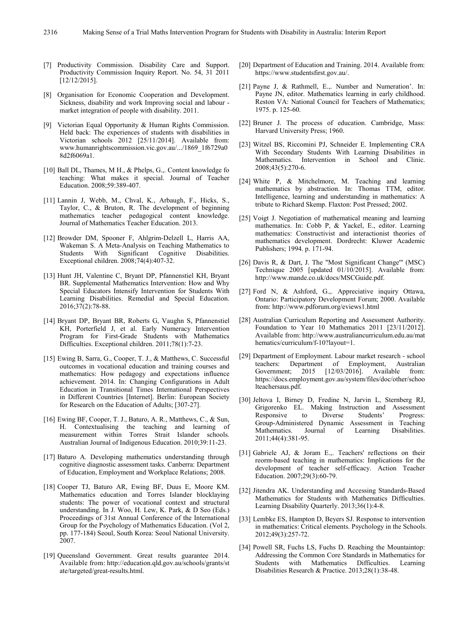- [7] Productivity Commission. Disability Care and Support. Productivity Commission Inquiry Report. No. 54, 31 2011 [12/12/2015].
- [8] Organisation for Economic Cooperation and Development. Sickness, disability and work Improving social and labour market integration of people with disability. 2011.
- [9] Victorian Equal Opportunity & Human Rights Commission. Held back: The experiences of students with disabilities in Victorian schools 2012 [25/11/2014]. Available from: www.humanrightscommission.vic.gov.au/.../1869\_1f6729a0 8d2f6069a1.
- [10] Ball DL, Thames, M H., & Phelps, G.,. Content knowledge fo teaching: What makes it special. Journal of Teacher Education. 2008;59:389-407.
- [11] Lannin J, Webb, M., Chval, K., Arbaugh, F., Hicks, S., Taylor, C., & Bruton, R. The development of beginning mathematics teacher pedagogical content knowledge. Journal of Mathematics Teacher Education. 2013.
- [12] Browder DM, Spooner F, Ahlgrim-Delzell L, Harris AA, Wakeman S. A Meta-Analysis on Teaching Mathematics to Students With Significant Cognitive Disabilities. Exceptional children. 2008;74(4):407-32.
- [13] Hunt JH, Valentine C, Bryant DP, Pfannenstiel KH, Bryant BR. Supplemental Mathematics Intervention: How and Why Special Educators Intensify Intervention for Students With Learning Disabilities. Remedial and Special Education. 2016;37(2):78-88.
- [14] Bryant DP, Bryant BR, Roberts G, Vaughn S, Pfannenstiel KH, Porterfield J, et al. Early Numeracy Intervention Program for First-Grade Students with Mathematics Difficulties. Exceptional children. 2011;78(1):7-23.
- [15] Ewing B, Sarra, G., Cooper, T. J., & Matthews, C. Successful outcomes in vocational education and training courses and mathematics: How pedagogy and expectations influence achievement. 2014. In: Changing Configurations in Adult Education in Transitional Times International Perspectives in Different Countries [Internet]. Berlin: European Society for Research on the Education of Adults; [307-27].
- [16] Ewing BF, Cooper, T. J., Baturo, A. R., Matthews, C., & Sun, H. Contextualising the teaching and learning of measurement within Torres Strait Islander schools. Australian Journal of Indigenous Education. 2010;39:11-23.
- [17] Baturo A. Developing mathematics understanding through cognitive diagnostic assessment tasks. Canberra: Department of Education, Employment and Workplace Relations; 2008.
- [18] Cooper TJ, Baturo AR, Ewing BF, Duus E, Moore KM. Mathematics education and Torres Islander blocklaying students: The power of vocational context and structural understanding. In J. Woo, H. Lew, K. Park, & D Seo (Eds.) Proceedings of 31st Annual Conference of the International Group for the Psychology of Mathematics Education. (Vol 2, pp. 177-184) Seoul, South Korea: Seoul National University. 2007.
- [19] Queensland Government. Great results guarantee 2014. Available from: http://education.qld.gov.au/schools/grants/st ate/targeted/great-results.html.
- [20] Department of Education and Training. 2014. Available from: https://www.studentsfirst.gov.au/.
- [21] Payne J, & Rathmell, E.,. Number and Numeration'. In: Payne JN, editor. Mathematics learning in early childhood. Reston VA: National Council for Teachers of Mathematics; 1975. p. 125-60.
- [22] Bruner J. The process of education. Cambridge, Mass: Harvard University Press; 1960.
- [23] Witzel BS, Riccomini PJ, Schneider E. Implementing CRA With Secondary Students With Learning Disabilities in Mathematics. Intervention in School and Clinic. 2008;43(5):270-6.
- [24] White P, & Mitchelmore, M. Teaching and learning mathematics by abstraction. In: Thomas TTM, editor. Intelligence, learning and understanding in mathematics: A tribute to Richard Skemp. Flaxton: Post Pressed; 2002.
- [25] Voigt J. Negotiation of mathematical meaning and learning mathematics. In: Cobb P, & Yackel, E., editor. Learning mathematics: Constructivist and interactionist theories of mathematics development. Dordrecht: Kluwer Academic Publishers; 1994. p. 171-94.
- [26] Davis R, & Dart, J. The "Most Significant Change'" (MSC) Technique 2005 [updated 01/10/2015]. Available from: http://www.mande.co.uk/docs/MSCGuide.pdf.
- [27] Ford N, & Ashford, G.,. Appreciative inquiry Ottawa, Ontario: Participatory Development Forum; 2000. Available from: http://www.pdforum.org/eviews1.html
- [28] Australian Curriculum Reporting and Assessment Authority. Foundation to Year 10 Mathematics 2011 [23/11/2012]. Available from: http://www.australiancurriculum.edu.au/mat hematics/curriculum/f-10?layout=1.
- [29] Department of Employment. Labour market research school teachers: Department of Employment, Australian Government; 2015 [12/03/2016]. Available from: https://docs.employment.gov.au/system/files/doc/other/schoo lteachersaus.pdf.
- [30] Jeltova I, Birney D, Fredine N, Jarvin L, Sternberg RJ, Grigorenko EL. Making Instruction and Assessment Responsive to Diverse Students' Progress: Group-Administered Dynamic Assessment in Teaching Mathematics. Journal of Learning Disabilities. 2011;44(4):381-95.
- [31] Gabriele AJ, & Joram E.,. Teachers' reflections on their reorm-based teaching in mathematics: Implications for the development of teacher self-efficacy. Action Teacher Education. 2007;29(3):60-79.
- [32] Jitendra AK. Understanding and Accessing Standards-Based Mathematics for Students with Mathematics Difficulties. Learning Disability Quarterly. 2013;36(1):4-8.
- [33] Lembke ES, Hampton D, Beyers SJ. Response to intervention in mathematics: Critical elements. Psychology in the Schools. 2012;49(3):257-72.
- [34] Powell SR, Fuchs LS, Fuchs D. Reaching the Mountaintop: Addressing the Common Core Standards in Mathematics for Students with Mathematics Difficulties. Learning Disabilities Research & Practice. 2013;28(1):38-48.